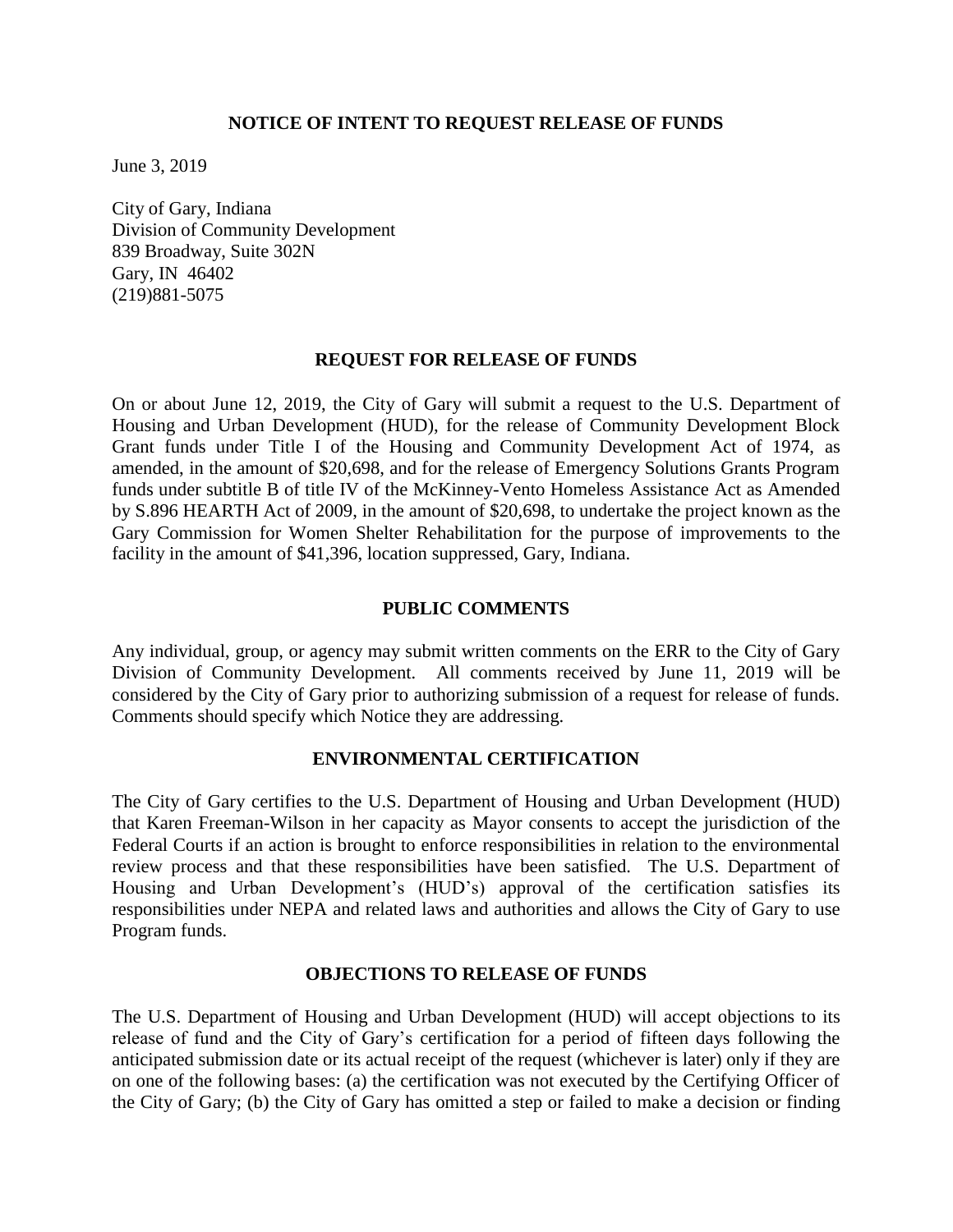### **NOTICE OF INTENT TO REQUEST RELEASE OF FUNDS**

June 3, 2019

City of Gary, Indiana Division of Community Development 839 Broadway, Suite 302N Gary, IN 46402 (219)881-5075

#### **REQUEST FOR RELEASE OF FUNDS**

On or about June 12, 2019, the City of Gary will submit a request to the U.S. Department of Housing and Urban Development (HUD), for the release of Community Development Block Grant funds under Title I of the Housing and Community Development Act of 1974, as amended, in the amount of \$20,698, and for the release of Emergency Solutions Grants Program funds under subtitle B of title IV of the McKinney-Vento Homeless Assistance Act [as Amended](https://www.hudexchange.info/resource/1715/mckinney-vento-homeless-assistance-act-amended-by-hearth-act-of-2009/)  [by S.896 HEARTH Act of 2009,](https://www.hudexchange.info/resource/1715/mckinney-vento-homeless-assistance-act-amended-by-hearth-act-of-2009/) in the amount of \$20,698, to undertake the project known as the Gary Commission for Women Shelter Rehabilitation for the purpose of improvements to the facility in the amount of \$41,396, location suppressed, Gary, Indiana.

# **PUBLIC COMMENTS**

Any individual, group, or agency may submit written comments on the ERR to the City of Gary Division of Community Development*.* All comments received by June 11, 2019 will be considered by the City of Gary prior to authorizing submission of a request for release of funds. Comments should specify which Notice they are addressing.

# **ENVIRONMENTAL CERTIFICATION**

The City of Gary certifies to the U.S. Department of Housing and Urban Development (HUD) that Karen Freeman-Wilson in her capacity as Mayor consents to accept the jurisdiction of the Federal Courts if an action is brought to enforce responsibilities in relation to the environmental review process and that these responsibilities have been satisfied. The U.S. Department of Housing and Urban Development's (HUD's) approval of the certification satisfies its responsibilities under NEPA and related laws and authorities and allows the City of Gary to use Program funds.

#### **OBJECTIONS TO RELEASE OF FUNDS**

The U.S. Department of Housing and Urban Development (HUD) will accept objections to its release of fund and the City of Gary's certification for a period of fifteen days following the anticipated submission date or its actual receipt of the request (whichever is later) only if they are on one of the following bases: (a) the certification was not executed by the Certifying Officer of the City of Gary; (b) the City of Gary has omitted a step or failed to make a decision or finding